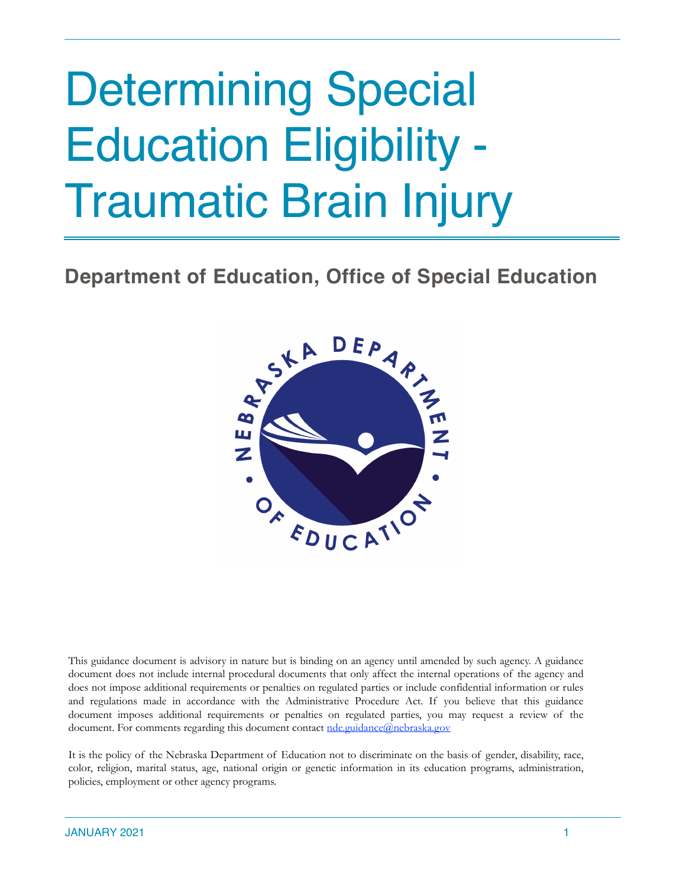# Determining Special Education Eligibility - Traumatic Brain Injury

## **Department of Education, Office of Special Education**



This guidance document is advisory in nature but is binding on an agency until amended by such agency. A guidance document does not include internal procedural documents that only affect the internal operations of the agency and does not impose additional requirements or penalties on regulated parties or include confidential information or rules and regulations made in accordance with the Administrative Procedure Act. If you believe that this guidance document imposes additional requirements or penalties on regulated parties, you may request a review of the document. For comments regarding this document contact [nde.guidance@nebraska.gov](mailto:nde.guidance@nebraska.gov)

It is the policy of the Nebraska Department of Education not to discriminate on the basis of gender, disability, race, color, religion, marital status, age, national origin or genetic information in its education programs, administration, policies, employment or other agency programs.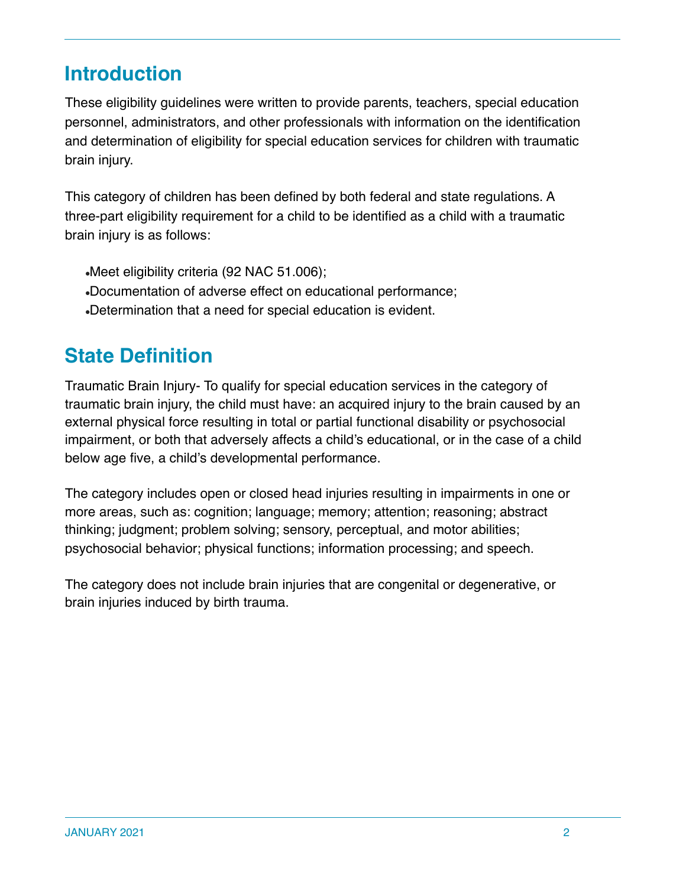## **Introduction**

These eligibility guidelines were written to provide parents, teachers, special education personnel, administrators, and other professionals with information on the identification and determination of eligibility for special education services for children with traumatic brain injury.

This category of children has been defined by both federal and state regulations. A three-part eligibility requirement for a child to be identified as a child with a traumatic brain injury is as follows:

●Meet eligibility criteria (92 NAC 51.006);

- ●Documentation of adverse effect on educational performance;
- ●Determination that a need for special education is evident.

## **State Definition**

Traumatic Brain Injury- To qualify for special education services in the category of traumatic brain injury, the child must have: an acquired injury to the brain caused by an external physical force resulting in total or partial functional disability or psychosocial impairment, or both that adversely affects a child's educational, or in the case of a child below age five, a child's developmental performance.

The category includes open or closed head injuries resulting in impairments in one or more areas, such as: cognition; language; memory; attention; reasoning; abstract thinking; judgment; problem solving; sensory, perceptual, and motor abilities; psychosocial behavior; physical functions; information processing; and speech.

The category does not include brain injuries that are congenital or degenerative, or brain injuries induced by birth trauma.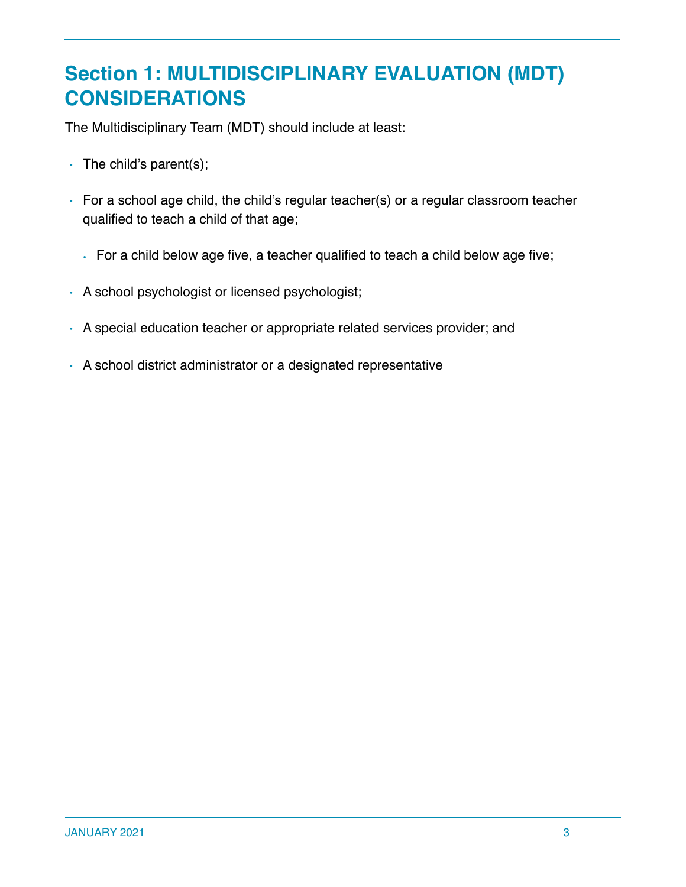## **Section 1: MULTIDISCIPLINARY EVALUATION (MDT) CONSIDERATIONS**

The Multidisciplinary Team (MDT) should include at least:

- $\cdot$  The child's parent(s);
- For a school age child, the child's regular teacher(s) or a regular classroom teacher qualified to teach a child of that age;
	- For a child below age five, a teacher qualified to teach a child below age five;
- A school psychologist or licensed psychologist;
- A special education teacher or appropriate related services provider; and
- A school district administrator or a designated representative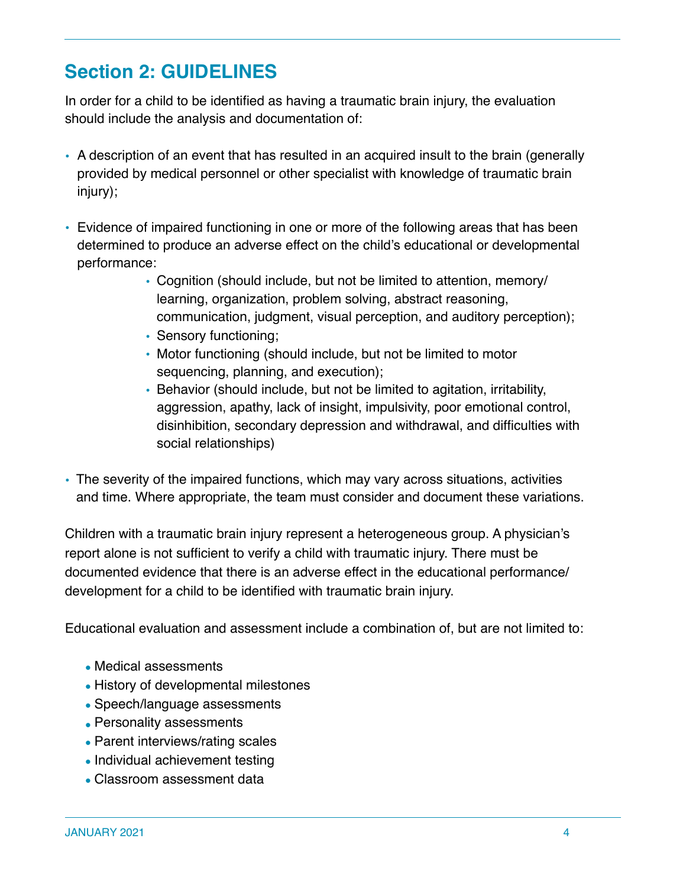## **Section 2: GUIDELINES**

In order for a child to be identified as having a traumatic brain injury, the evaluation should include the analysis and documentation of:

- A description of an event that has resulted in an acquired insult to the brain (generally provided by medical personnel or other specialist with knowledge of traumatic brain injury);
- Evidence of impaired functioning in one or more of the following areas that has been determined to produce an adverse effect on the child's educational or developmental performance:
	- Cognition (should include, but not be limited to attention, memory/ learning, organization, problem solving, abstract reasoning, communication, judgment, visual perception, and auditory perception);
	- Sensory functioning;
	- Motor functioning (should include, but not be limited to motor sequencing, planning, and execution);
	- Behavior (should include, but not be limited to agitation, irritability, aggression, apathy, lack of insight, impulsivity, poor emotional control, disinhibition, secondary depression and withdrawal, and difficulties with social relationships)
- The severity of the impaired functions, which may vary across situations, activities and time. Where appropriate, the team must consider and document these variations.

Children with a traumatic brain injury represent a heterogeneous group. A physician's report alone is not sufficient to verify a child with traumatic injury. There must be documented evidence that there is an adverse effect in the educational performance/ development for a child to be identified with traumatic brain injury.

Educational evaluation and assessment include a combination of, but are not limited to:

- Medical assessments
- History of developmental milestones
- Speech/language assessments
- Personality assessments
- Parent interviews/rating scales
- Individual achievement testing
- Classroom assessment data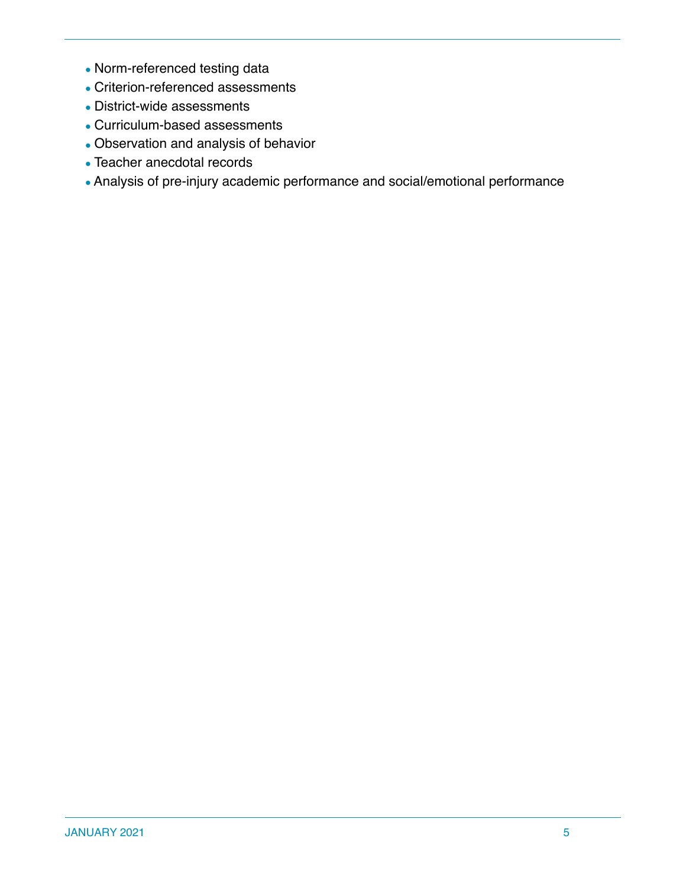- Norm-referenced testing data
- Criterion-referenced assessments
- District-wide assessments
- Curriculum-based assessments
- Observation and analysis of behavior
- Teacher anecdotal records
- Analysis of pre-injury academic performance and social/emotional performance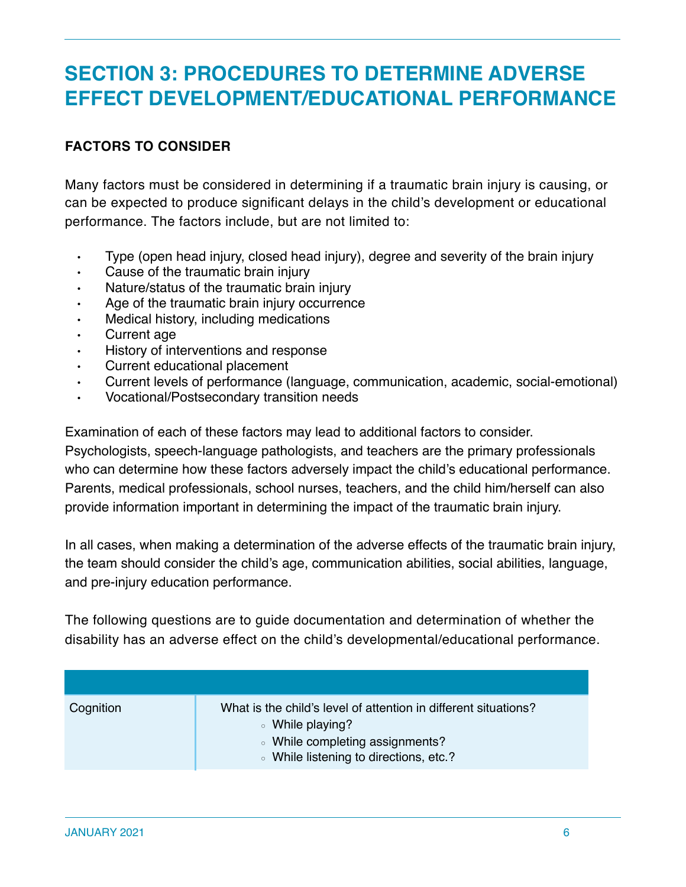## **SECTION 3: PROCEDURES TO DETERMINE ADVERSE EFFECT DEVELOPMENT/EDUCATIONAL PERFORMANCE**

#### **FACTORS TO CONSIDER**

Many factors must be considered in determining if a traumatic brain injury is causing, or can be expected to produce significant delays in the child's development or educational performance. The factors include, but are not limited to:

- Type (open head injury, closed head injury), degree and severity of the brain injury
- Cause of the traumatic brain injury
- Nature/status of the traumatic brain injury
- Age of the traumatic brain injury occurrence
- Medical history, including medications
- Current age
- History of interventions and response
- Current educational placement
- Current levels of performance (language, communication, academic, social-emotional)
- Vocational/Postsecondary transition needs

Examination of each of these factors may lead to additional factors to consider.

Psychologists, speech-language pathologists, and teachers are the primary professionals who can determine how these factors adversely impact the child's educational performance. Parents, medical professionals, school nurses, teachers, and the child him/herself can also provide information important in determining the impact of the traumatic brain injury.

In all cases, when making a determination of the adverse effects of the traumatic brain injury, the team should consider the child's age, communication abilities, social abilities, language, and pre-injury education performance.

The following questions are to guide documentation and determination of whether the disability has an adverse effect on the child's developmental/educational performance.

| What is the child's level of attention in different situations?<br>Cognition |                  |
|------------------------------------------------------------------------------|------------------|
| • While completing assignments?<br>• While listening to directions, etc.?    | • While playing? |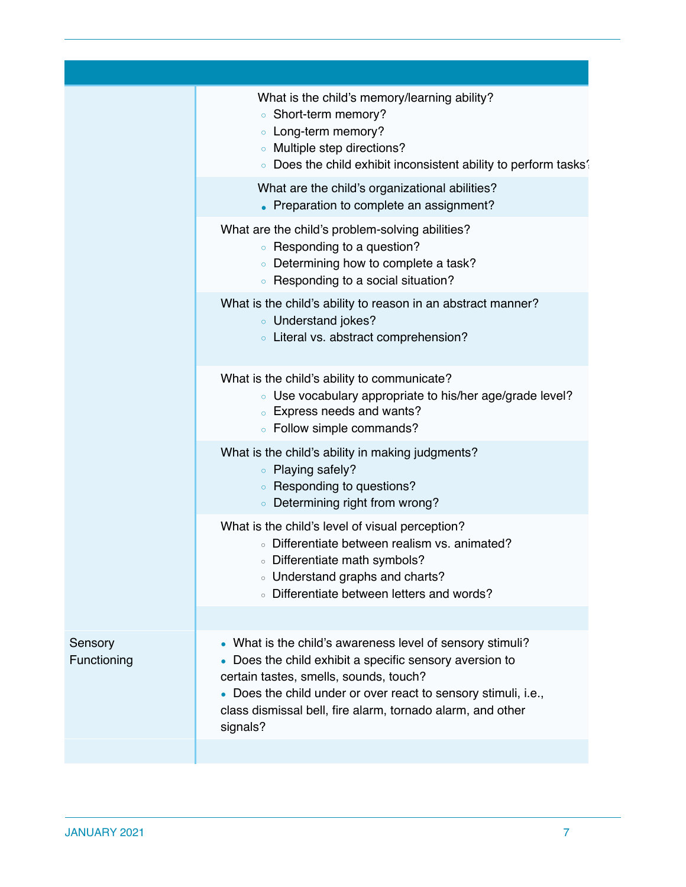|                        | What is the child's memory/learning ability?<br>• Short-term memory?<br><b>Long-term memory?</b><br>• Multiple step directions?<br>• Does the child exhibit inconsistent ability to perform tasks?                                                                                                       |
|------------------------|----------------------------------------------------------------------------------------------------------------------------------------------------------------------------------------------------------------------------------------------------------------------------------------------------------|
|                        | What are the child's organizational abilities?<br>• Preparation to complete an assignment?                                                                                                                                                                                                               |
|                        | What are the child's problem-solving abilities?<br>• Responding to a question?<br>• Determining how to complete a task?<br>• Responding to a social situation?                                                                                                                                           |
|                        | What is the child's ability to reason in an abstract manner?<br><b>o</b> Understand jokes?<br>○ Literal vs. abstract comprehension?                                                                                                                                                                      |
|                        | What is the child's ability to communicate?<br>○ Use vocabulary appropriate to his/her age/grade level?<br><b>Express needs and wants?</b><br>• Follow simple commands?                                                                                                                                  |
|                        | What is the child's ability in making judgments?<br>• Playing safely?<br>• Responding to questions?<br>• Determining right from wrong?                                                                                                                                                                   |
|                        | What is the child's level of visual perception?<br>Differentiate between realism vs. animated?<br>• Differentiate math symbols?<br>• Understand graphs and charts?<br>Differentiate between letters and words?                                                                                           |
|                        |                                                                                                                                                                                                                                                                                                          |
| Sensory<br>Functioning | • What is the child's awareness level of sensory stimuli?<br>Does the child exhibit a specific sensory aversion to<br>certain tastes, smells, sounds, touch?<br>• Does the child under or over react to sensory stimuli, i.e.,<br>class dismissal bell, fire alarm, tornado alarm, and other<br>signals? |
|                        |                                                                                                                                                                                                                                                                                                          |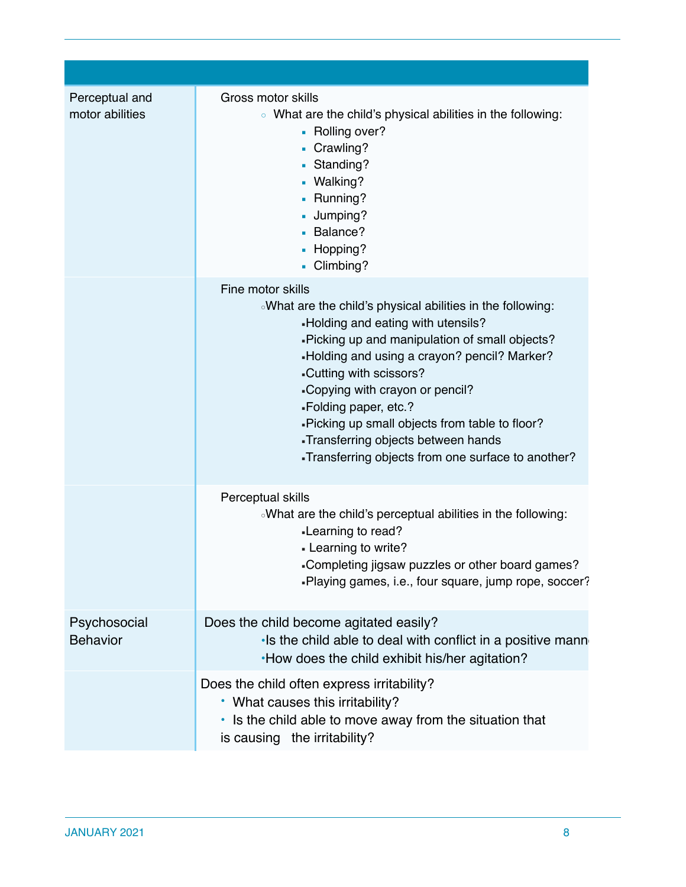| Perceptual and<br>motor abilities | Gross motor skills<br>• What are the child's physical abilities in the following:<br>• Rolling over?<br>- Crawling?<br>• Standing?<br>• Walking?<br>- Running?<br>- Jumping?<br><b>Balance?</b><br>- Hopping?<br>Climbing?                                                                                                                                                                                                                                    |
|-----------------------------------|---------------------------------------------------------------------------------------------------------------------------------------------------------------------------------------------------------------------------------------------------------------------------------------------------------------------------------------------------------------------------------------------------------------------------------------------------------------|
|                                   | Fine motor skills<br>•What are the child's physical abilities in the following:<br>-Holding and eating with utensils?<br>-Picking up and manipulation of small objects?<br>-Holding and using a crayon? pencil? Marker?<br>-Cutting with scissors?<br>-Copying with crayon or pencil?<br>-Folding paper, etc.?<br>-Picking up small objects from table to floor?<br>-Transferring objects between hands<br>-Transferring objects from one surface to another? |
|                                   | Perceptual skills<br>Mhat are the child's perceptual abilities in the following:<br>-Learning to read?<br>- Learning to write?<br>-Completing jigsaw puzzles or other board games?<br>-Playing games, i.e., four square, jump rope, soccer?                                                                                                                                                                                                                   |
| Psychosocial<br><b>Behavior</b>   | Does the child become agitated easily?<br>. Is the child able to deal with conflict in a positive mann<br>•How does the child exhibit his/her agitation?                                                                                                                                                                                                                                                                                                      |
|                                   | Does the child often express irritability?<br>• What causes this irritability?<br>• Is the child able to move away from the situation that<br>is causing the irritability?                                                                                                                                                                                                                                                                                    |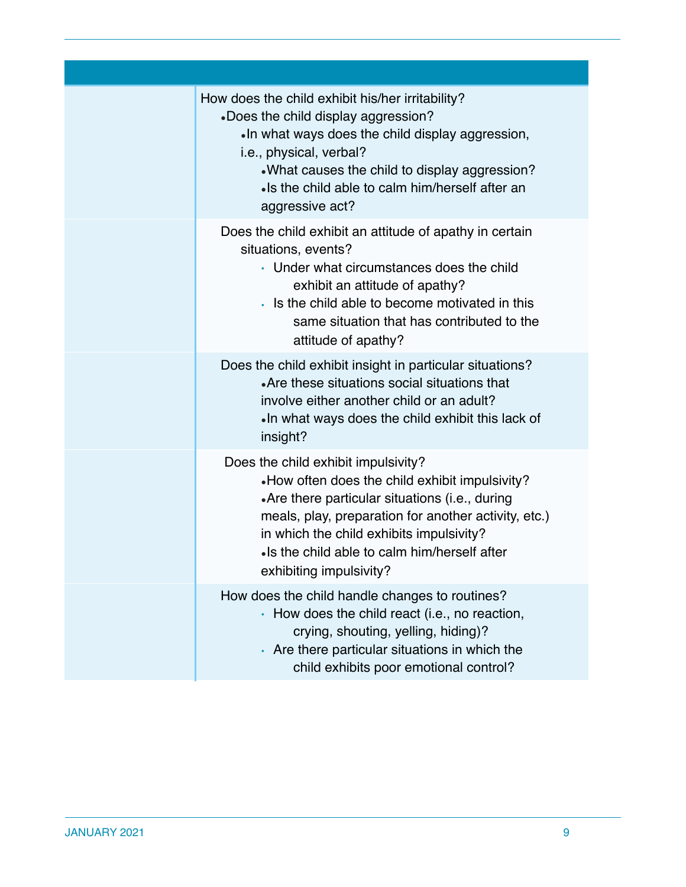| How does the child exhibit his/her irritability?<br>•Does the child display aggression?<br>. In what ways does the child display aggression,<br>i.e., physical, verbal?<br>. What causes the child to display aggression?<br>. Is the child able to calm him/herself after an<br>aggressive act?                        |
|-------------------------------------------------------------------------------------------------------------------------------------------------------------------------------------------------------------------------------------------------------------------------------------------------------------------------|
| Does the child exhibit an attitude of apathy in certain<br>situations, events?<br>• Under what circumstances does the child<br>exhibit an attitude of apathy?<br>. Is the child able to become motivated in this<br>same situation that has contributed to the<br>attitude of apathy?                                   |
| Does the child exhibit insight in particular situations?<br>•Are these situations social situations that<br>involve either another child or an adult?<br>. In what ways does the child exhibit this lack of<br>insight?                                                                                                 |
| Does the child exhibit impulsivity?<br>•How often does the child exhibit impulsivity?<br>•Are there particular situations (i.e., during<br>meals, play, preparation for another activity, etc.)<br>in which the child exhibits impulsivity?<br>. Is the child able to calm him/herself after<br>exhibiting impulsivity? |
| How does the child handle changes to routines?<br>• How does the child react (i.e., no reaction,<br>crying, shouting, yelling, hiding)?<br>Are there particular situations in which the<br>child exhibits poor emotional control?                                                                                       |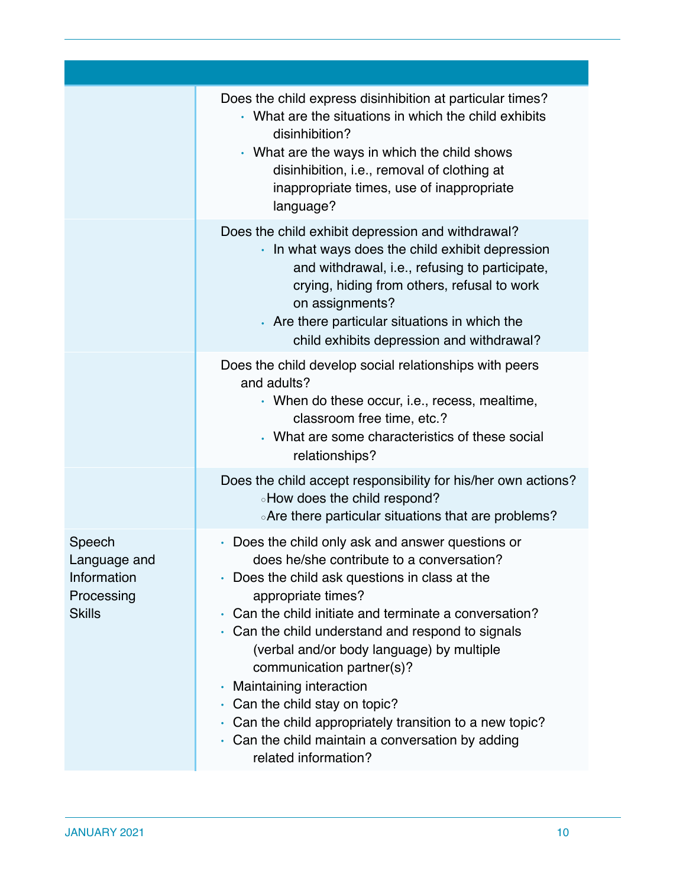|                                                                      | Does the child express disinhibition at particular times?<br>• What are the situations in which the child exhibits<br>disinhibition?<br>• What are the ways in which the child shows<br>disinhibition, i.e., removal of clothing at<br>inappropriate times, use of inappropriate<br>language?                                                                                                                                                                                                                                                                                         |
|----------------------------------------------------------------------|---------------------------------------------------------------------------------------------------------------------------------------------------------------------------------------------------------------------------------------------------------------------------------------------------------------------------------------------------------------------------------------------------------------------------------------------------------------------------------------------------------------------------------------------------------------------------------------|
|                                                                      | Does the child exhibit depression and withdrawal?<br>• In what ways does the child exhibit depression<br>and withdrawal, i.e., refusing to participate,<br>crying, hiding from others, refusal to work<br>on assignments?<br>Are there particular situations in which the<br>child exhibits depression and withdrawal?                                                                                                                                                                                                                                                                |
|                                                                      | Does the child develop social relationships with peers<br>and adults?<br>• When do these occur, i.e., recess, mealtime,<br>classroom free time, etc.?<br>• What are some characteristics of these social<br>relationships?                                                                                                                                                                                                                                                                                                                                                            |
|                                                                      | Does the child accept responsibility for his/her own actions?<br>•How does the child respond?<br>. Are there particular situations that are problems?                                                                                                                                                                                                                                                                                                                                                                                                                                 |
| Speech<br>Language and<br>Information<br>Processing<br><b>Skills</b> | • Does the child only ask and answer questions or<br>does he/she contribute to a conversation?<br>• Does the child ask questions in class at the<br>appropriate times?<br>Can the child initiate and terminate a conversation?<br>• Can the child understand and respond to signals<br>(verbal and/or body language) by multiple<br>communication partner(s)?<br><b>Maintaining interaction</b><br>$\bullet$<br>• Can the child stay on topic?<br>Can the child appropriately transition to a new topic?<br>• Can the child maintain a conversation by adding<br>related information? |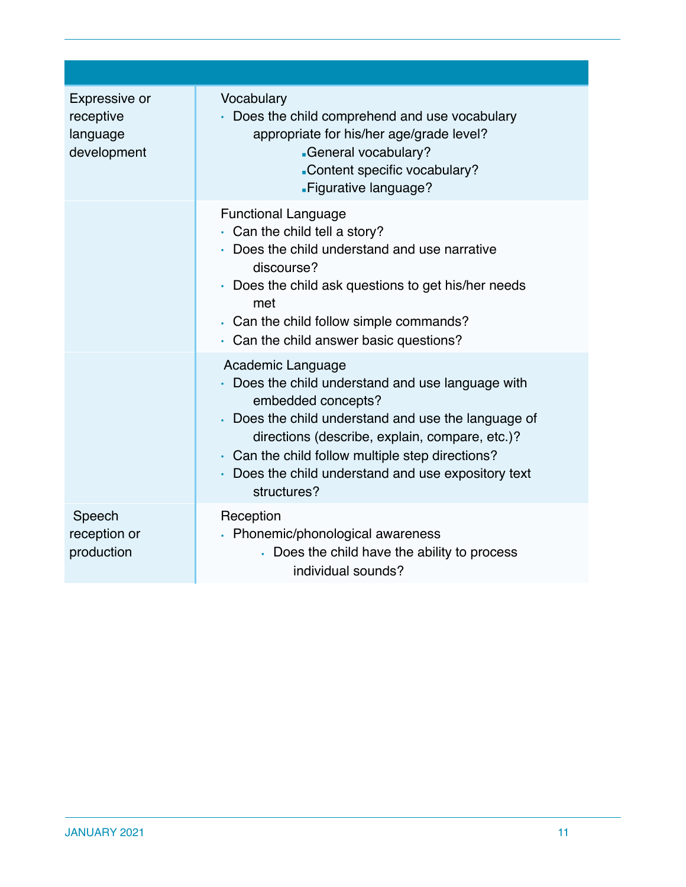| Expressive or<br>receptive<br>language<br>development | Vocabulary<br>• Does the child comprehend and use vocabulary<br>appropriate for his/her age/grade level?<br>-General vocabulary?<br>-Content specific vocabulary?<br>-Figurative language?                                                                                                                                      |
|-------------------------------------------------------|---------------------------------------------------------------------------------------------------------------------------------------------------------------------------------------------------------------------------------------------------------------------------------------------------------------------------------|
|                                                       | <b>Functional Language</b><br>$\cdot$ Can the child tell a story?<br>• Does the child understand and use narrative<br>discourse?<br>• Does the child ask questions to get his/her needs<br>met<br>. Can the child follow simple commands?<br>• Can the child answer basic questions?                                            |
|                                                       | Academic Language<br>• Does the child understand and use language with<br>embedded concepts?<br>. Does the child understand and use the language of<br>directions (describe, explain, compare, etc.)?<br>• Can the child follow multiple step directions?<br>• Does the child understand and use expository text<br>structures? |
| Speech<br>reception or<br>production                  | Reception<br>• Phonemic/phonological awareness<br>. Does the child have the ability to process<br>individual sounds?                                                                                                                                                                                                            |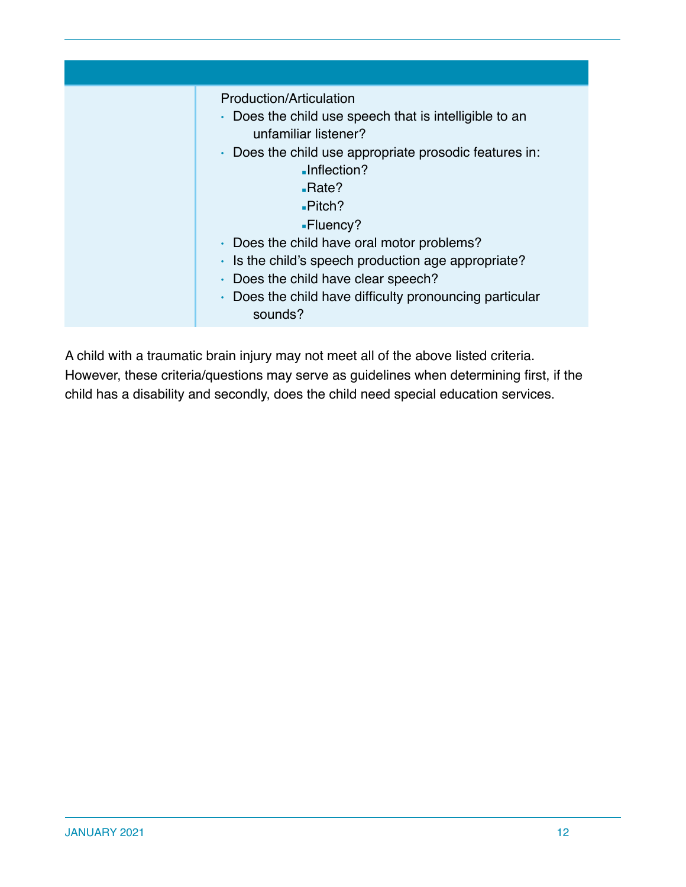| <b>Production/Articulation</b><br>• Does the child use speech that is intelligible to an<br>unfamiliar listener?<br>• Does the child use appropriate prosodic features in:<br>$\blacksquare$ Inflection?<br>$\blacksquare$ Rate?<br>Pitch?<br>-Fluency?<br>• Does the child have oral motor problems?<br>· Is the child's speech production age appropriate?<br>• Does the child have clear speech?<br>• Does the child have difficulty pronouncing particular<br>sounds? |
|---------------------------------------------------------------------------------------------------------------------------------------------------------------------------------------------------------------------------------------------------------------------------------------------------------------------------------------------------------------------------------------------------------------------------------------------------------------------------|

A child with a traumatic brain injury may not meet all of the above listed criteria. However, these criteria/questions may serve as guidelines when determining first, if the child has a disability and secondly, does the child need special education services.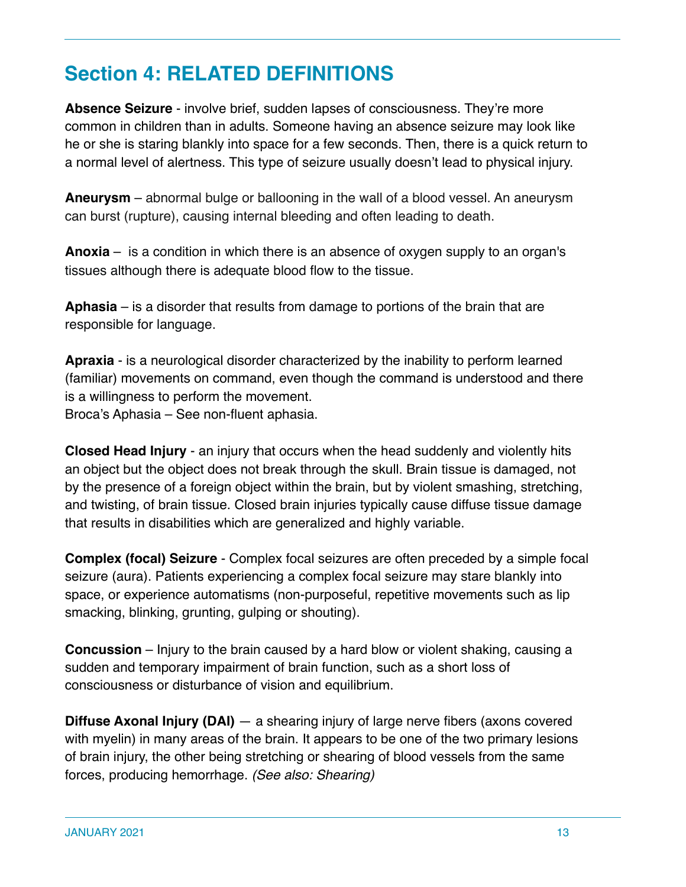# **Section 4: RELATED DEFINITIONS**

**Absence Seizure** - involve brief, sudden lapses of consciousness. They're more common in children than in adults. Someone having an absence seizure may look like he or she is staring blankly into space for a few seconds. Then, there is a quick return to a normal level of alertness. This type of seizure usually doesn't lead to physical injury.

**Aneurysm** – abnormal bulge or ballooning in the wall of a blood vessel. An aneurysm can burst (rupture), causing internal bleeding and often leading to death.

**Anoxia** – is a condition in which there is an absence of oxygen supply to an organ's tissues although there is adequate blood flow to the tissue.

**Aphasia** – is a disorder that results from damage to portions of the brain that are responsible for language.

**Apraxia** - is a neurological disorder characterized by the inability to perform learned (familiar) movements on command, even though the command is understood and there is a willingness to perform the movement.

Broca's Aphasia – See non-fluent aphasia.

**Closed Head Injury** - an injury that occurs when the head suddenly and violently hits an object but the object does not break through the skull. Brain tissue is damaged, not by the presence of a foreign object within the brain, but by violent smashing, stretching, and twisting, of brain tissue. Closed brain injuries typically cause diffuse tissue damage that results in disabilities which are generalized and highly variable.

**Complex (focal) Seizure** - Complex focal seizures are often preceded by a simple focal seizure (aura). Patients experiencing a complex focal seizure may stare blankly into space, or experience automatisms (non-purposeful, repetitive movements such as lip smacking, blinking, grunting, gulping or shouting).

**Concussion** – Injury to the brain caused by a hard blow or violent shaking, causing a sudden and temporary impairment of brain function, such as a short loss of consciousness or disturbance of vision and equilibrium.

**Diffuse Axonal Injury (DAI)** — a shearing injury of large nerve fibers (axons covered with myelin) in many areas of the brain. It appears to be one of the two primary lesions of brain injury, the other being stretching or shearing of blood vessels from the same forces, producing hemorrhage. *(See also: Shearing)*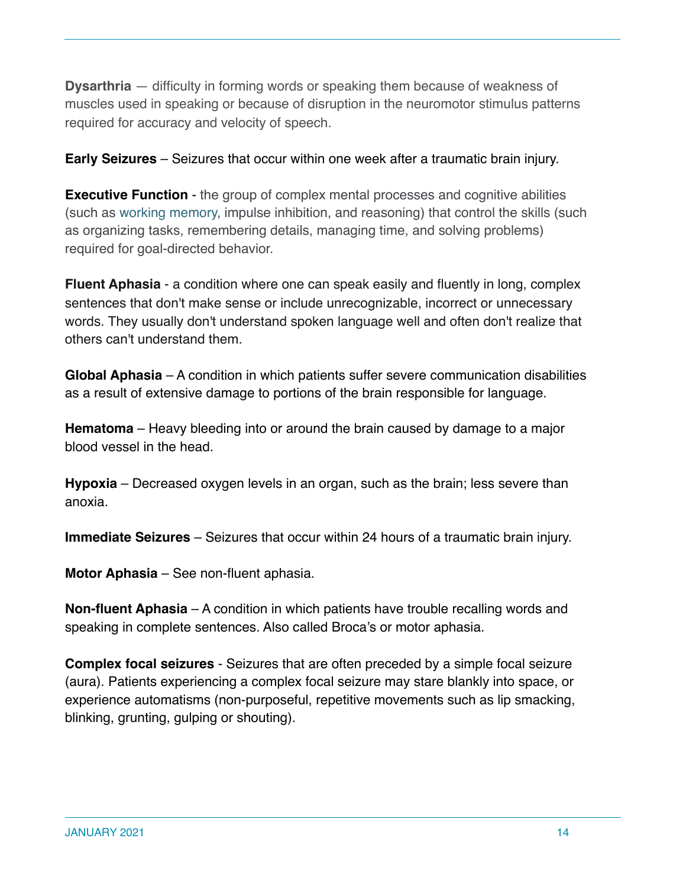**Dysarthria** — difficulty in forming words or speaking them because of weakness of muscles used in speaking or because of disruption in the neuromotor stimulus patterns required for accuracy and velocity of speech.

#### **Early Seizures** – Seizures that occur within one week after a traumatic brain injury.

**Executive Function** - the group of complex mental processes and cognitive abilities (such as [working memory,](https://www.merriam-webster.com/dictionary/working) impulse inhibition, and reasoning) that control the skills (such as organizing tasks, remembering details, managing time, and solving problems) required for goal-directed behavior.

**Fluent Aphasia** - a condition where one can speak easily and fluently in long, complex sentences that don't make sense or include unrecognizable, incorrect or unnecessary words. They usually don't understand spoken language well and often don't realize that others can't understand them.

**Global Aphasia** – A condition in which patients suffer severe communication disabilities as a result of extensive damage to portions of the brain responsible for language.

**Hematoma** – Heavy bleeding into or around the brain caused by damage to a major blood vessel in the head.

**Hypoxia** – Decreased oxygen levels in an organ, such as the brain; less severe than anoxia.

**Immediate Seizures** – Seizures that occur within 24 hours of a traumatic brain injury.

**Motor Aphasia** – See non-fluent aphasia.

**Non-fluent Aphasia** – A condition in which patients have trouble recalling words and speaking in complete sentences. Also called Broca's or motor aphasia.

**Complex focal seizures** - Seizures that are often preceded by a simple focal seizure (aura). Patients experiencing a complex focal seizure may stare blankly into space, or experience automatisms (non-purposeful, repetitive movements such as lip smacking, blinking, grunting, gulping or shouting).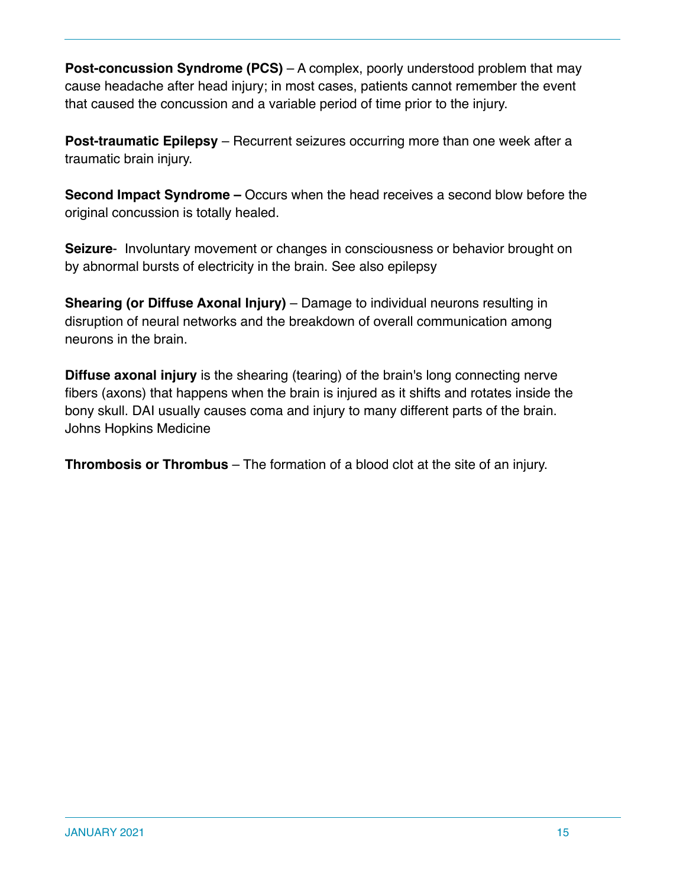**Post-concussion Syndrome (PCS)** – A complex, poorly understood problem that may cause headache after head injury; in most cases, patients cannot remember the event that caused the concussion and a variable period of time prior to the injury.

**Post-traumatic Epilepsy** – Recurrent seizures occurring more than one week after a traumatic brain injury.

**Second Impact Syndrome –** Occurs when the head receives a second blow before the original concussion is totally healed.

**Seizure**- Involuntary movement or changes in consciousness or behavior brought on by abnormal bursts of electricity in the brain. See also epilepsy

**Shearing (or Diffuse Axonal Injury)** – Damage to individual neurons resulting in disruption of neural networks and the breakdown of overall communication among neurons in the brain.

**Diffuse axonal injury** is the shearing (tearing) of the brain's long connecting nerve fibers (axons) that happens when the brain is injured as it shifts and rotates inside the bony skull. DAI usually causes coma and injury to many different parts of the brain. Johns Hopkins Medicine

**Thrombosis or Thrombus** – The formation of a blood clot at the site of an injury.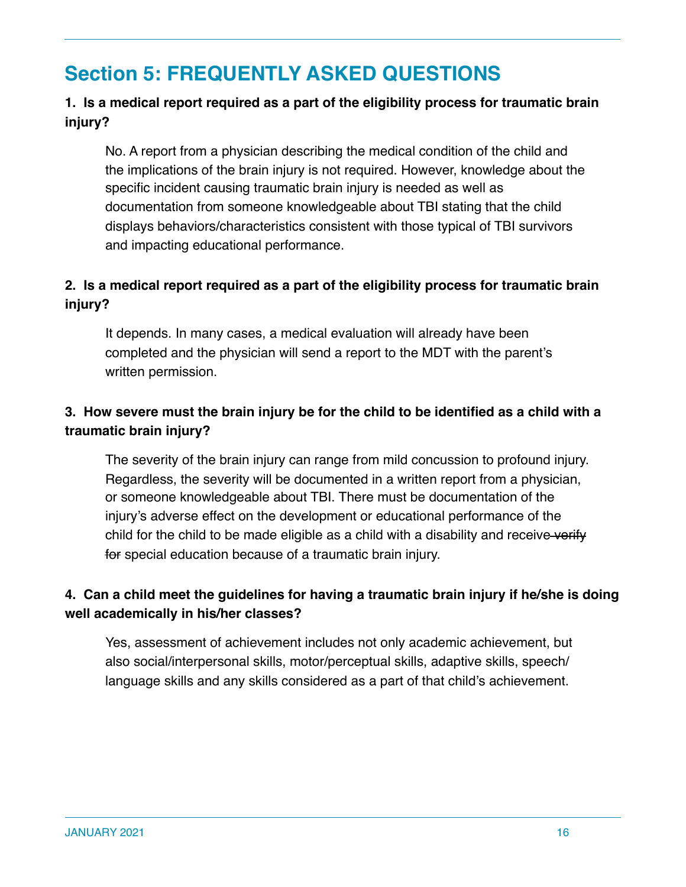## **Section 5: FREQUENTLY ASKED QUESTIONS**

#### **1. Is a medical report required as a part of the eligibility process for traumatic brain injury?**

No. A report from a physician describing the medical condition of the child and the implications of the brain injury is not required. However, knowledge about the specific incident causing traumatic brain injury is needed as well as documentation from someone knowledgeable about TBI stating that the child displays behaviors/characteristics consistent with those typical of TBI survivors and impacting educational performance.

## **2. Is a medical report required as a part of the eligibility process for traumatic brain injury?**

It depends. In many cases, a medical evaluation will already have been completed and the physician will send a report to the MDT with the parent's written permission.

#### **3. How severe must the brain injury be for the child to be identified as a child with a traumatic brain injury?**

The severity of the brain injury can range from mild concussion to profound injury. Regardless, the severity will be documented in a written report from a physician, or someone knowledgeable about TBI. There must be documentation of the injury's adverse effect on the development or educational performance of the child for the child to be made eligible as a child with a disability and receive verify for special education because of a traumatic brain injury.

#### **4. Can a child meet the guidelines for having a traumatic brain injury if he/she is doing well academically in his/her classes?**

Yes, assessment of achievement includes not only academic achievement, but also social/interpersonal skills, motor/perceptual skills, adaptive skills, speech/ language skills and any skills considered as a part of that child's achievement.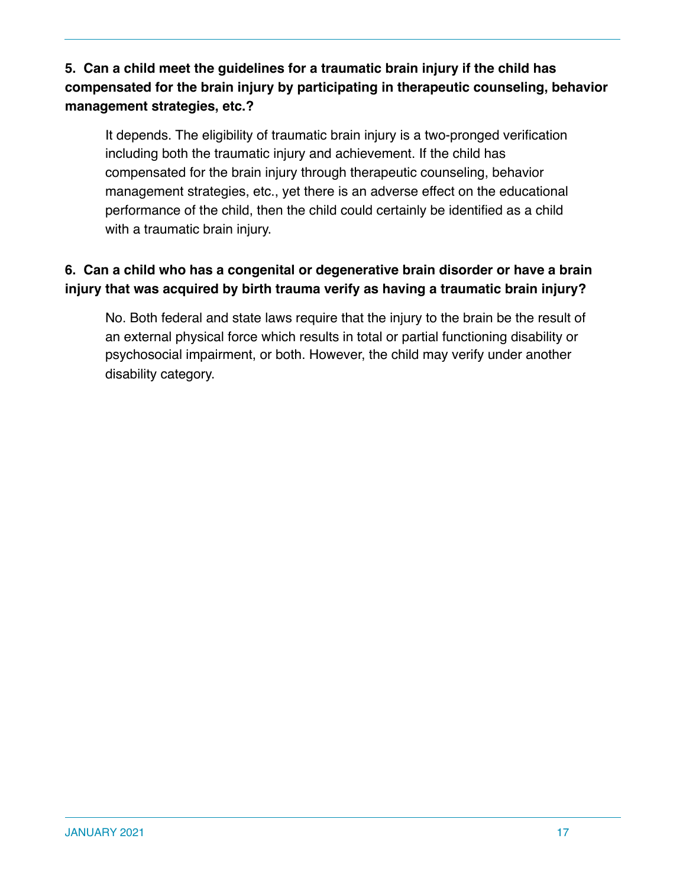## **5. Can a child meet the guidelines for a traumatic brain injury if the child has compensated for the brain injury by participating in therapeutic counseling, behavior management strategies, etc.?**

It depends. The eligibility of traumatic brain injury is a two-pronged verification including both the traumatic injury and achievement. If the child has compensated for the brain injury through therapeutic counseling, behavior management strategies, etc., yet there is an adverse effect on the educational performance of the child, then the child could certainly be identified as a child with a traumatic brain injury.

## **6. Can a child who has a congenital or degenerative brain disorder or have a brain injury that was acquired by birth trauma verify as having a traumatic brain injury?**

No. Both federal and state laws require that the injury to the brain be the result of an external physical force which results in total or partial functioning disability or psychosocial impairment, or both. However, the child may verify under another disability category.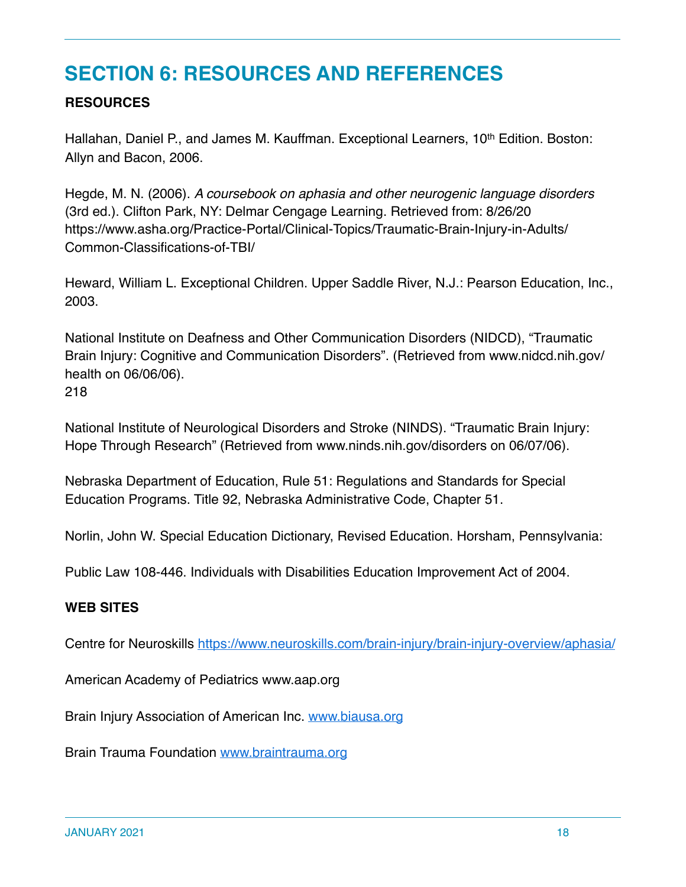## **SECTION 6: RESOURCES AND REFERENCES**

#### **RESOURCES**

Hallahan, Daniel P., and James M. Kauffman. Exceptional Learners, 10<sup>th</sup> Edition. Boston: Allyn and Bacon, 2006.

Hegde, M. N. (2006). *A coursebook on aphasia and other neurogenic language disorders* (3rd ed.). Clifton Park, NY: Delmar Cengage Learning. Retrieved from: 8/26/20 https://www.asha.org/Practice-Portal/Clinical-Topics/Traumatic-Brain-Injury-in-Adults/ Common-Classifications-of-TBI/

Heward, William L. Exceptional Children. Upper Saddle River, N.J.: Pearson Education, Inc., 2003.

National Institute on Deafness and Other Communication Disorders (NIDCD), "Traumatic Brain Injury: Cognitive and Communication Disorders". (Retrieved from www.nidcd.nih.gov/ health on 06/06/06). 218

National Institute of Neurological Disorders and Stroke (NINDS). "Traumatic Brain Injury: Hope Through Research" (Retrieved from www.ninds.nih.gov/disorders on 06/07/06).

Nebraska Department of Education, Rule 51: Regulations and Standards for Special Education Programs. Title 92, Nebraska Administrative Code, Chapter 51.

Norlin, John W. Special Education Dictionary, Revised Education. Horsham, Pennsylvania:

Public Law 108-446. Individuals with Disabilities Education Improvement Act of 2004.

#### **WEB SITES**

Centre for Neuroskills [https://www.neuroskills.com/brain-injury/brain-injury-overview/aphasia/](https://www.ne)

American Academy of Pediatrics www.aap.org

Brain Injury Association of American Inc. [www.biausa.org](http://www.biaus)

Brain Trauma Foundation [www.braintrauma.org](http://www.braintrauma.org)